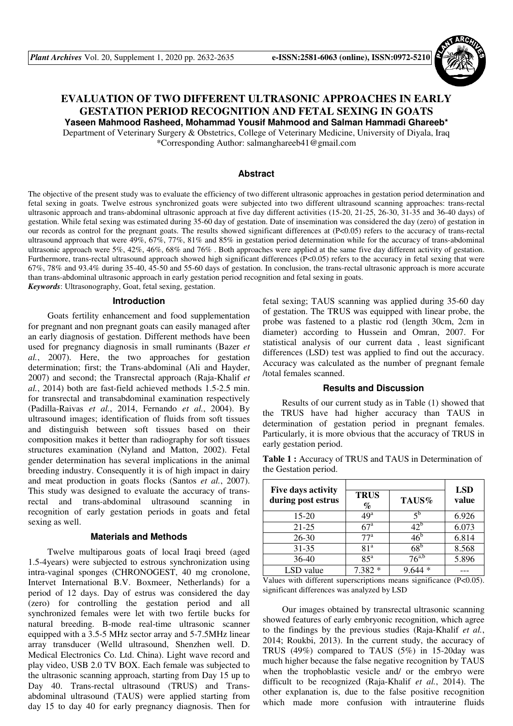

# **EVALUATION OF TWO DIFFERENT ULTRASONIC APPROACHES IN EARLY GESTATION PERIOD RECOGNITION AND FETAL SEXING IN GOATS Yaseen Mahmood Rasheed, Mohammad Yousif Mahmood and Salman Hammadi Ghareeb\***

Department of Veterinary Surgery & Obstetrics, College of Veterinary Medicine, University of Diyala, Iraq

\*Corresponding Author: salmanghareeb41@gmail.com

## **Abstract**

The objective of the present study was to evaluate the efficiency of two different ultrasonic approaches in gestation period determination and fetal sexing in goats. Twelve estrous synchronized goats were subjected into two different ultrasound scanning approaches: trans-rectal ultrasonic approach and trans-abdominal ultrasonic approach at five day different activities (15-20, 21-25, 26-30, 31-35 and 36-40 days) of gestation. While fetal sexing was estimated during 35-60 day of gestation. Date of insemination was considered the day (zero) of gestation in our records as control for the pregnant goats. The results showed significant differences at (P<0.05) refers to the accuracy of trans-rectal ultrasound approach that were  $49\%, 67\%, 77\%, 81\%$  and 85% in gestation period determination while for the accuracy of trans-abdominal ultrasonic approach were 5%, 42%, 46%, 68% and 76% . Both approaches were applied at the same five day different activity of gestation. Furthermore, trans-rectal ultrasound approach showed high significant differences (P<0.05) refers to the accuracy in fetal sexing that were 67%, 78% and 93.4% during 35-40, 45-50 and 55-60 days of gestation. In conclusion, the trans-rectal ultrasonic approach is more accurate than trans-abdominal ultrasonic approach in early gestation period recognition and fetal sexing in goats. *Keywords*: Ultrasonography, Goat, fetal sexing, gestation.

#### **Introduction**

Goats fertility enhancement and food supplementation for pregnant and non pregnant goats can easily managed after an early diagnosis of gestation. Different methods have been used for pregnancy diagnosis in small ruminants (Bazer *et al.*, 2007). Here, the two approaches for gestation determination; first; the Trans-abdominal (Ali and Hayder, 2007) and second; the Transrectal approach (Raja-Khalif *et al.*, 2014) both are fast-field achieved methods 1.5-2.5 min. for transrectal and transabdominal examination respectively (Padilla-Raivas *et al.*, 2014, Fernando *et al.*, 2004). By ultrasound images; identification of fluids from soft tissues and distinguish between soft tissues based on their composition makes it better than radiography for soft tissues structures examination (Nyland and Matton, 2002). Fetal gender determination has several implications in the animal breeding industry. Consequently it is of high impact in dairy and meat production in goats flocks (Santos *et al.*, 2007). This study was designed to evaluate the accuracy of transrectal and trans-abdominal ultrasound scanning in recognition of early gestation periods in goats and fetal sexing as well.

#### **Materials and Methods**

Twelve multiparous goats of local Iraqi breed (aged 1.5-4years) were subjected to estrous synchronization using intra-vaginal sponges (CHRONOGEST, 40 mg cronolone, Intervet International B.V. Boxmeer, Netherlands) for a period of 12 days. Day of estrus was considered the day (zero) for controlling the gestation period and all synchronized females were let with two fertile bucks for natural breeding. B-mode real-time ultrasonic scanner equipped with a 3.5-5 MHz sector array and 5-7.5MHz linear array transducer (Welld ultrasound, Shenzhen well. D. Medical Electronics Co. Ltd. China). Light wave record and play video, USB 2.0 TV BOX. Each female was subjected to the ultrasonic scanning approach, starting from Day 15 up to Day 40. Trans-rectal ultrasound (TRUS) and Transabdominal ultrasound (TAUS) were applied starting from day 15 to day 40 for early pregnancy diagnosis. Then for

fetal sexing; TAUS scanning was applied during 35-60 day of gestation. The TRUS was equipped with linear probe, the probe was fastened to a plastic rod (length 30cm, 2cm in diameter) according to Hussein and Omran, 2007. For statistical analysis of our current data , least significant differences (LSD) test was applied to find out the accuracy. Accuracy was calculated as the number of pregnant female /total females scanned.

### **Results and Discussion**

Results of our current study as in Table (1) showed that the TRUS have had higher accuracy than TAUS in determination of gestation period in pregnant females. Particularly, it is more obvious that the accuracy of TRUS in early gestation period.

**Table 1 :** Accuracy of TRUS and TAUS in Determination of the Gestation period.

|                                          |                     |                       | <b>LSD</b> |
|------------------------------------------|---------------------|-----------------------|------------|
| Five days activity<br>during post estrus | <b>TRUS</b><br>$\%$ | TAUS%                 | value      |
| 15-20                                    | $49^{\rm a}$        | ٢p                    | 6.926      |
| $21 - 25$                                | $67^{\rm a}$        | $42^{\circ}$          | 6.073      |
| $26 - 30$                                | 77 <sup>a</sup>     | $46^{\circ}$          | 6.814      |
| 31-35                                    | 81 <sup>a</sup>     | $68^{\rm b}$          | 8.568      |
| 36-40                                    | $85^{\rm a}$        | $76^{\overline{a,b}}$ | 5.896      |
| LSD value                                | 7.382               |                       |            |

Values with different superscriptions means significance  $(P<0.05)$ . significant differences was analyzed by LSD

Our images obtained by transrectal ultrasonic scanning showed features of early embryonic recognition, which agree to the findings by the previous studies (Raja-Khalif *et al.*, 2014; Roukbi, 2013). In the current study, the accuracy of TRUS (49%) compared to TAUS (5%) in 15-20day was much higher because the false negative recognition by TAUS when the trophoblastic vesicle and/ or the embryo were difficult to be recognized (Raja-Khalif *et al.*, 2014). The other explanation is, due to the false positive recognition which made more confusion with intrauterine fluids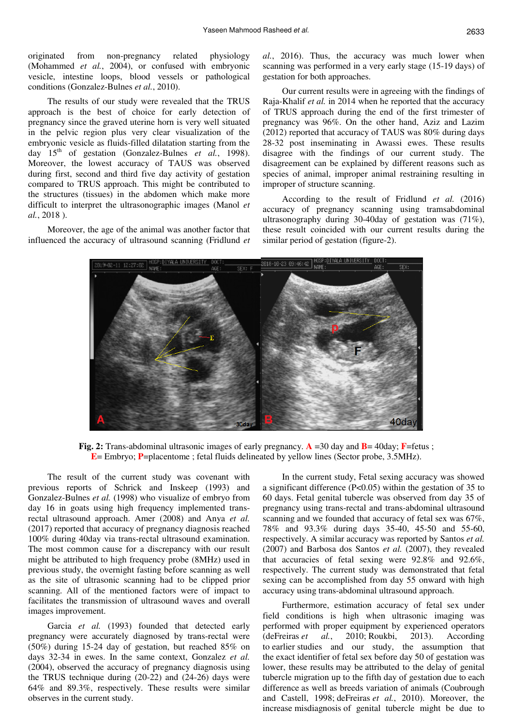originated from non-pregnancy related physiology (Mohammed *et al.*, 2004), or confused with embryonic vesicle, intestine loops, blood vessels or pathological conditions (Gonzalez-Bulnes *et al.*, 2010).

The results of our study were revealed that the TRUS approach is the best of choice for early detection of pregnancy since the graved uterine horn is very well situated in the pelvic region plus very clear visualization of the embryonic vesicle as fluids-filled dilatation starting from the day 15<sup>th</sup> of gestation (Gonzalez-Bulnes *et al.*, 1998). Moreover, the lowest accuracy of TAUS was observed during first, second and third five day activity of gestation compared to TRUS approach. This might be contributed to the structures (tissues) in the abdomen which make more difficult to interpret the ultrasonographic images (Manol *et al.*, 2018 ).

Moreover, the age of the animal was another factor that influenced the accuracy of ultrasound scanning (Fridlund *et*  *al.*, 2016). Thus, the accuracy was much lower when scanning was performed in a very early stage (15-19 days) of gestation for both approaches.

Our current results were in agreeing with the findings of Raja-Khalif *et al.* in 2014 when he reported that the accuracy of TRUS approach during the end of the first trimester of pregnancy was 96%. On the other hand, Aziz and Lazim (2012) reported that accuracy of TAUS was 80% during days 28-32 post inseminating in Awassi ewes. These results disagree with the findings of our current study. The disagreement can be explained by different reasons such as species of animal, improper animal restraining resulting in improper of structure scanning.

According to the result of Fridlund *et al.* (2016) accuracy of pregnancy scanning using tramsabdominal ultrasonography during 30-40day of gestation was (71%), these result coincided with our current results during the similar period of gestation (figure-2).



**Fig. 2:** Trans-abdominal ultrasonic images of early pregnancy. **A** =30 day and **B**= 40day; **F**=fetus ; **E**= Embryo; **P**=placentome ; fetal fluids delineated by yellow lines (Sector probe, 3.5MHz).

The result of the current study was covenant with previous reports of Schrick and Inskeep (1993) and Gonzalez-Bulnes *et al.* (1998) who visualize of embryo from day 16 in goats using high frequency implemented transrectal ultrasound approach. Amer (2008) and Anya *et al.* (2017) reported that accuracy of pregnancy diagnosis reached 100% during 40day via trans-rectal ultrasound examination. The most common cause for a discrepancy with our result might be attributed to high frequency probe (8MHz) used in previous study, the overnight fasting before scanning as well as the site of ultrasonic scanning had to be clipped prior scanning. All of the mentioned factors were of impact to facilitates the transmission of ultrasound waves and overall images improvement.

Garcia *et al.* (1993) founded that detected early pregnancy were accurately diagnosed by trans-rectal were (50%) during 15-24 day of gestation, but reached 85% on days 32-34 in ewes. In the same context, Gonzalez *et al.* (2004), observed the accuracy of pregnancy diagnosis using the TRUS technique during (20-22) and (24-26) days were 64% and 89.3%, respectively. These results were similar observes in the current study.

In the current study, Fetal sexing accuracy was showed a significant difference (P<0.05) within the gestation of 35 to 60 days. Fetal genital tubercle was observed from day 35 of pregnancy using trans-rectal and trans-abdominal ultrasound scanning and we founded that accuracy of fetal sex was 67%, 78% and 93.3% during days 35-40, 45-50 and 55-60, respectively. A similar accuracy was reported by Santos *et al.* (2007) and Barbosa dos Santos *et al.* (2007), they revealed that accuracies of fetal sexing were 92.8% and 92.6%, respectively. The current study was demonstrated that fetal sexing can be accomplished from day 55 onward with high accuracy using trans-abdominal ultrasound approach.

Furthermore, estimation accuracy of fetal sex under field conditions is high when ultrasonic imaging was performed with proper equipment by experienced operators (deFreiras *et al.*, 2010; Roukbi, 2013). According to earlier studies and our study, the assumption that the exact identifier of fetal sex before day 50 of gestation was lower, these results may be attributed to the delay of genital tubercle migration up to the fifth day of gestation due to each difference as well as breeds variation of animals (Coubrough and Castell, 1998; deFreiras *et al.*, 2010). Moreover, the increase misdiagnosis of genital tubercle might be due to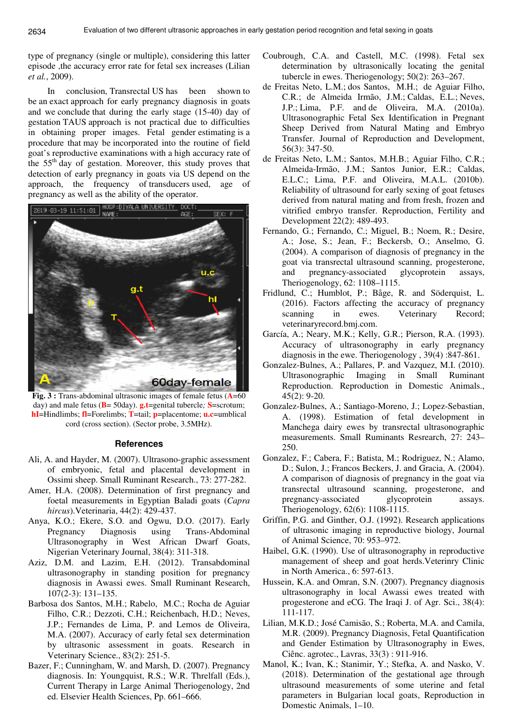type of pregnancy (single or multiple), considering this latter episode ,the accuracy error rate for fetal sex increases (Lilian *et al.*, 2009).

In conclusion, Transrectal US has been shown to be an exact approach for early pregnancy diagnosis in goats and we conclude that during the early stage (15-40) day of gestation TAUS approach is not practical due to difficulties in obtaining proper images. Fetal gender estimating is a procedure that may be incorporated into the routine of field goat's reproductive examinations with a high accuracy rate of the 55th day of gestation. Moreover, this study proves that detection of early pregnancy in goats via US depend on the approach, the frequency of transducers used, age of pregnancy as well as the ability of the operator.



**Fig. 3 :** Trans-abdominal ultrasonic images of female fetus (**A**=60 day) and male fetus (**B**= 50day). **g.t**=genital tubercle*;* **S**=scrotum; **hI**=Hindlimbs; **fl**=Forelimbs; **T**=tail; **p**=placentome; **u.c**=umblical cord (cross section). (Sector probe, 3.5MHz).

#### **References**

- Ali, A. and Hayder, M. (2007). Ultrasono-graphic assessment of embryonic, fetal and placental development in Ossimi sheep. Small Ruminant Research., 73: 277-282.
- Amer, H.A. (2008). Determination of first pregnancy and foetal measurements in Egyptian Baladi goats (*Capra hircus*).Veterinaria, 44(2): 429-437.
- Anya, K.O.; Ekere, S.O. and Ogwu, D.O. (2017). Early Pregnancy Diagnosis using Trans-Abdominal Ultrasonography in West African Dwarf Goats, Nigerian Veterinary Journal, 38(4): 311-318.
- Aziz, D.M. and Lazim, E.H. (2012). Transabdominal ultrasonography in standing position for pregnancy diagnosis in Awassi ewes. Small Ruminant Research, 107(2-3): 131–135.
- Barbosa dos Santos, M.H.; Rabelo, M.C.; Rocha de Aguiar Filho, C.R.; Dezzoti, C.H.; Reichenbach, H.D.; Neves, J.P.; Fernandes de Lima, P. and Lemos de Oliveira, M.A. (2007). Accuracy of early fetal sex determination by ultrasonic assessment in goats. Research in Veterinary Science., 83(2): 251-5.
- Bazer, F.; Cunningham, W. and Marsh, D. (2007). Pregnancy diagnosis. In: Youngquist, R.S.; W.R. Threlfall (Eds.), Current Therapy in Large Animal Theriogenology, 2nd ed. Elsevier Health Sciences, Pp. 661–666.
- Coubrough, C.A. and Castell, M.C. (1998). Fetal sex determination by ultrasonically locating the genital tubercle in ewes. Theriogenology; 50(2): 263–267.
- de Freitas Neto, L.M.; dos Santos, M.H.; de Aguiar Filho, C.R.; de Almeida Irmão, J.M.; Caldas, E.L.; Neves, J.P.; Lima, P.F. and de Oliveira, M.A. (2010a). Ultrasonographic Fetal Sex Identification in Pregnant Sheep Derived from Natural Mating and Embryo Transfer. Journal of Reproduction and Development, 56(3): 347-50.
- de Freitas Neto, L.M.; Santos, M.H.B.; Aguiar Filho, C.R.; Almeida-Irmão, J.M.; Santos Junior, E.R.; Caldas, E.L.C.; Lima, P.F. and Oliveira, M.A.L. (2010b). Reliability of ultrasound for early sexing of goat fetuses derived from natural mating and from fresh, frozen and vitrified embryo transfer. Reproduction, Fertility and Development 22(2): 489-493.
- Fernando, G.; Fernando, C.; Miguel, B.; Noem, R.; Desire, A.; Jose, S.; Jean, F.; Beckersb, O.; Anselmo, G. (2004). A comparison of diagnosis of pregnancy in the goat via transrectal ultrasound scanning, progesterone, and pregnancy-associated glycoprotein assays, Theriogenology, 62: 1108–1115.
- Fridlund, C.; Humblot, P.; Båge, R. and Söderquist, L. (2016). Factors affecting the accuracy of pregnancy scanning in ewes. Veterinary Record; veterinaryrecord.bmj.com.
- García, A.; Neary, M.K.; Kelly, G.R.; Pierson, R.A. (1993). Accuracy of ultrasonography in early pregnancy diagnosis in the ewe. Theriogenology , 39(4) :847-861.
- Gonzalez-Bulnes, A.; Pallares, P. and Vazquez, M.I. (2010). Ultrasonographic Imaging in Small Ruminant Reproduction. Reproduction in Domestic Animals., 45(2): 9-20.
- Gonzalez-Bulnes, A.; Santiago-Moreno, J.; Lopez-Sebastian, A. (1998). Estimation of fetal development in Manchega dairy ewes by transrectal ultrasonographic measurements. Small Ruminants Resrearch, 27: 243– 250.
- Gonzalez, F.; Cabera, F.; Batista, M.; Rodriguez, N.; Alamo, D.; Sulon, J.; Francos Beckers, J. and Gracia, A. (2004). A comparison of diagnosis of pregnancy in the goat via transrectal ultrasound scanning, progesterone, and pregnancy-associated glycoprotein assays. Theriogenology, 62(6): 1108-1115.
- Griffin, P.G. and Ginther, O.J. (1992). Research applications of ultrasonic imaging in reproductive biology, Journal of Animal Science, 70: 953–972.
- Haibel, G.K. (1990). Use of ultrasonography in reproductive management of sheep and goat herds.Veterinry Clinic in North America., 6: 597-613.
- Hussein, K.A. and Omran, S.N. (2007). Pregnancy diagnosis ultrasonography in local Awassi ewes treated with progesterone and eCG. The Iraqi J. of Agr. Sci., 38(4): 111-117.
- Lilian, M.K.D.; José Camisão, S.; Roberta, M.A. and Camila, M.R. (2009). Pregnancy Diagnosis, Fetal Quantification and Gender Estimation by Ultrasonography in Ewes, Ciênc. agrotec., Lavras, 33(3) : 911-916.
- Manol, K.; Ivan, K.; Stanimir, Y.; Stefka, A. and Nasko, V. (2018). Determination of the gestational age through ultrasound measurements of some uterine and fetal parameters in Bulgarian local goats, Reproduction in Domestic Animals, 1–10.